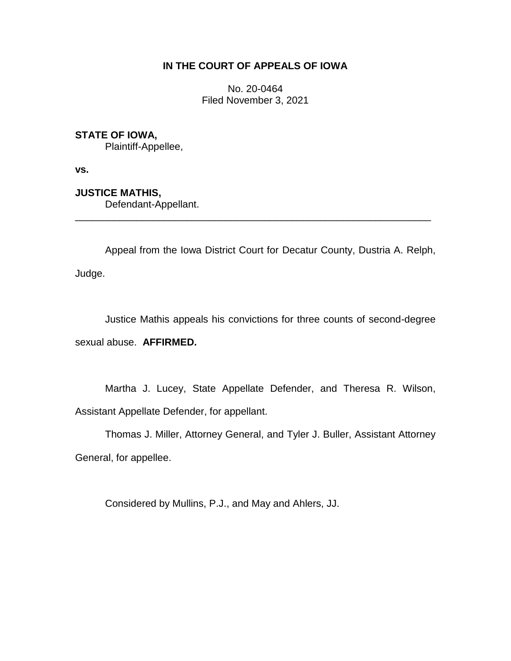# **IN THE COURT OF APPEALS OF IOWA**

No. 20-0464 Filed November 3, 2021

# **STATE OF IOWA,**

Plaintiff-Appellee,

**vs.**

# **JUSTICE MATHIS,**

Defendant-Appellant.

Appeal from the Iowa District Court for Decatur County, Dustria A. Relph, Judge.

\_\_\_\_\_\_\_\_\_\_\_\_\_\_\_\_\_\_\_\_\_\_\_\_\_\_\_\_\_\_\_\_\_\_\_\_\_\_\_\_\_\_\_\_\_\_\_\_\_\_\_\_\_\_\_\_\_\_\_\_\_\_\_\_

Justice Mathis appeals his convictions for three counts of second-degree sexual abuse. **AFFIRMED.**

Martha J. Lucey, State Appellate Defender, and Theresa R. Wilson, Assistant Appellate Defender, for appellant.

Thomas J. Miller, Attorney General, and Tyler J. Buller, Assistant Attorney General, for appellee.

Considered by Mullins, P.J., and May and Ahlers, JJ.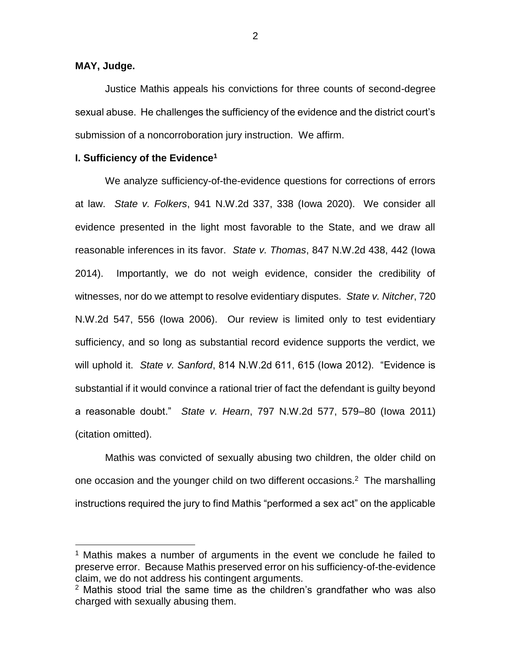### **MAY, Judge.**

 $\overline{a}$ 

Justice Mathis appeals his convictions for three counts of second-degree sexual abuse. He challenges the sufficiency of the evidence and the district court's submission of a noncorroboration jury instruction. We affirm.

### **I. Sufficiency of the Evidence<sup>1</sup>**

We analyze sufficiency-of-the-evidence questions for corrections of errors at law. *State v. Folkers*, 941 N.W.2d 337, 338 (Iowa 2020). We consider all evidence presented in the light most favorable to the State, and we draw all reasonable inferences in its favor. *State v. Thomas*, 847 N.W.2d 438, 442 (Iowa 2014). Importantly, we do not weigh evidence, consider the credibility of witnesses, nor do we attempt to resolve evidentiary disputes. *State v. Nitcher*, 720 N.W.2d 547, 556 (Iowa 2006). Our review is limited only to test evidentiary sufficiency, and so long as substantial record evidence supports the verdict, we will uphold it. *State v. Sanford*, 814 N.W.2d 611, 615 (Iowa 2012). "Evidence is substantial if it would convince a rational trier of fact the defendant is guilty beyond a reasonable doubt." *State v. Hearn*, 797 N.W.2d 577, 579–80 (Iowa 2011) (citation omitted).

Mathis was convicted of sexually abusing two children, the older child on one occasion and the younger child on two different occasions. $2$  The marshalling instructions required the jury to find Mathis "performed a sex act" on the applicable

<sup>&</sup>lt;sup>1</sup> Mathis makes a number of arguments in the event we conclude he failed to preserve error. Because Mathis preserved error on his sufficiency-of-the-evidence claim, we do not address his contingent arguments.

 $2$  Mathis stood trial the same time as the children's grandfather who was also charged with sexually abusing them.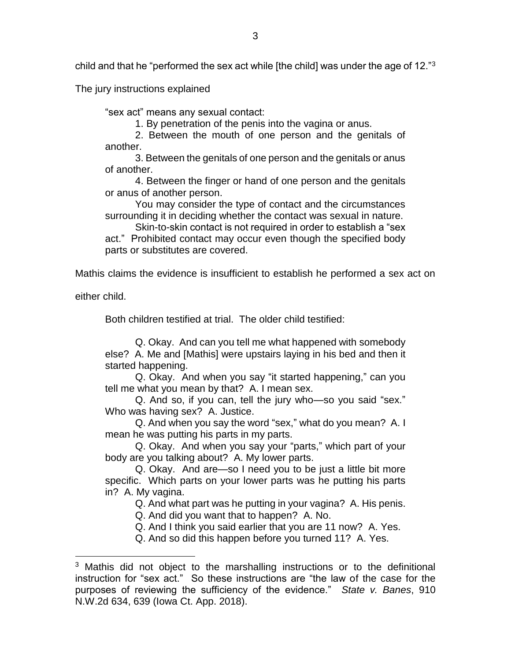child and that he "performed the sex act while [the child] was under the age of 12." $^3$ 

The jury instructions explained

"sex act" means any sexual contact:

1. By penetration of the penis into the vagina or anus.

2. Between the mouth of one person and the genitals of another.

3. Between the genitals of one person and the genitals or anus of another.

4. Between the finger or hand of one person and the genitals or anus of another person.

You may consider the type of contact and the circumstances surrounding it in deciding whether the contact was sexual in nature.

Skin-to-skin contact is not required in order to establish a "sex

act." Prohibited contact may occur even though the specified body parts or substitutes are covered.

Mathis claims the evidence is insufficient to establish he performed a sex act on

either child.

 $\overline{a}$ 

Both children testified at trial. The older child testified:

Q. Okay. And can you tell me what happened with somebody else? A. Me and [Mathis] were upstairs laying in his bed and then it started happening.

Q. Okay. And when you say "it started happening," can you tell me what you mean by that? A. I mean sex.

Q. And so, if you can, tell the jury who—so you said "sex." Who was having sex? A. Justice.

Q. And when you say the word "sex," what do you mean? A. I mean he was putting his parts in my parts.

Q. Okay. And when you say your "parts," which part of your body are you talking about? A. My lower parts.

Q. Okay. And are—so I need you to be just a little bit more specific. Which parts on your lower parts was he putting his parts in? A. My vagina.

Q. And what part was he putting in your vagina? A. His penis.

Q. And did you want that to happen? A. No.

Q. And I think you said earlier that you are 11 now? A. Yes.

Q. And so did this happen before you turned 11? A. Yes.

<sup>3</sup> Mathis did not object to the marshalling instructions or to the definitional instruction for "sex act." So these instructions are "the law of the case for the purposes of reviewing the sufficiency of the evidence." *State v. Banes*, 910 N.W.2d 634, 639 (Iowa Ct. App. 2018).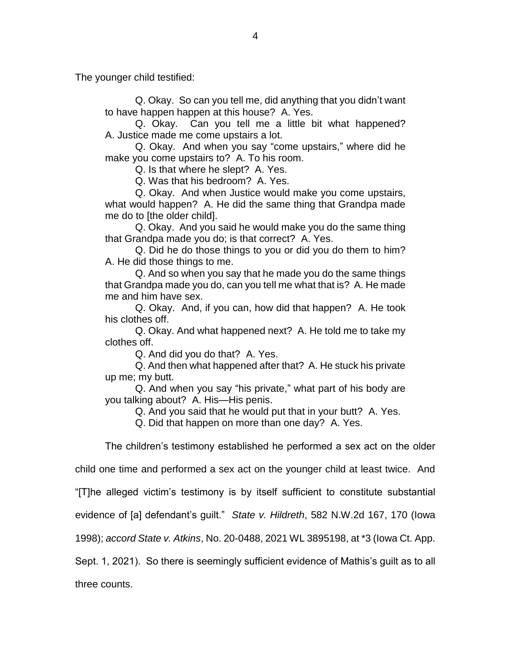The younger child testified:

Q. Okay. So can you tell me, did anything that you didn't want to have happen happen at this house? A. Yes.

Q. Okay. Can you tell me a little bit what happened? A. Justice made me come upstairs a lot.

Q. Okay. And when you say "come upstairs," where did he make you come upstairs to? A. To his room.

Q. Is that where he slept? A. Yes.

Q. Was that his bedroom? A. Yes.

Q. Okay. And when Justice would make you come upstairs, what would happen? A. He did the same thing that Grandpa made me do to [the older child].

Q. Okay. And you said he would make you do the same thing that Grandpa made you do; is that correct? A. Yes.

Q. Did he do those things to you or did you do them to him? A. He did those things to me.

Q. And so when you say that he made you do the same things that Grandpa made you do, can you tell me what that is? A. He made me and him have sex.

Q. Okay. And, if you can, how did that happen? A. He took his clothes off.

Q. Okay. And what happened next? A. He told me to take my clothes off.

Q. And did you do that? A. Yes.

Q. And then what happened after that? A. He stuck his private up me; my butt.

Q. And when you say "his private," what part of his body are you talking about? A. His—His penis.

Q. And you said that he would put that in your butt? A. Yes.

Q. Did that happen on more than one day? A. Yes.

The children's testimony established he performed a sex act on the older

child one time and performed a sex act on the younger child at least twice. And

"[T]he alleged victim's testimony is by itself sufficient to constitute substantial

evidence of [a] defendant's guilt." *State v. Hildreth*, 582 N.W.2d 167, 170 (Iowa

1998); *accord State v. Atkins*, No. 20-0488, 2021 WL 3895198, at \*3 (Iowa Ct. App.

Sept. 1, 2021). So there is seemingly sufficient evidence of Mathis's guilt as to all

three counts.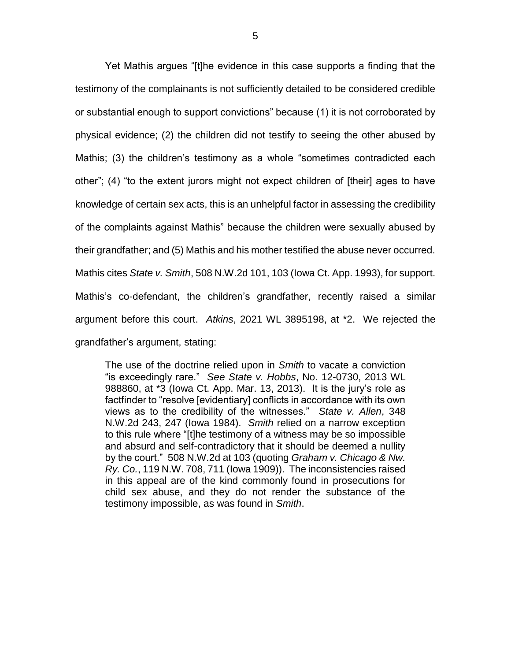Yet Mathis argues "[t]he evidence in this case supports a finding that the testimony of the complainants is not sufficiently detailed to be considered credible or substantial enough to support convictions" because (1) it is not corroborated by physical evidence; (2) the children did not testify to seeing the other abused by Mathis; (3) the children's testimony as a whole "sometimes contradicted each other"; (4) "to the extent jurors might not expect children of [their] ages to have knowledge of certain sex acts, this is an unhelpful factor in assessing the credibility of the complaints against Mathis" because the children were sexually abused by their grandfather; and (5) Mathis and his mother testified the abuse never occurred. Mathis cites *State v. Smith*, 508 N.W.2d 101, 103 (Iowa Ct. App. 1993), for support. Mathis's co-defendant, the children's grandfather, recently raised a similar argument before this court. *Atkins*, 2021 WL 3895198, at \*2. We rejected the grandfather's argument, stating:

The use of the doctrine relied upon in *Smith* to vacate a conviction "is exceedingly rare." *See State v. Hobbs*, No. 12-0730, 2013 WL 988860, at \*3 (Iowa Ct. App. Mar. 13, 2013). It is the jury's role as factfinder to "resolve [evidentiary] conflicts in accordance with its own views as to the credibility of the witnesses." *State v. Allen*, 348 N.W.2d 243, 247 (Iowa 1984). *Smith* relied on a narrow exception to this rule where "[t]he testimony of a witness may be so impossible and absurd and self-contradictory that it should be deemed a nullity by the court." 508 N.W.2d at 103 (quoting *Graham v. Chicago & Nw. Ry. Co.*, 119 N.W. 708, 711 (Iowa 1909)). The inconsistencies raised in this appeal are of the kind commonly found in prosecutions for child sex abuse, and they do not render the substance of the testimony impossible, as was found in *Smith*.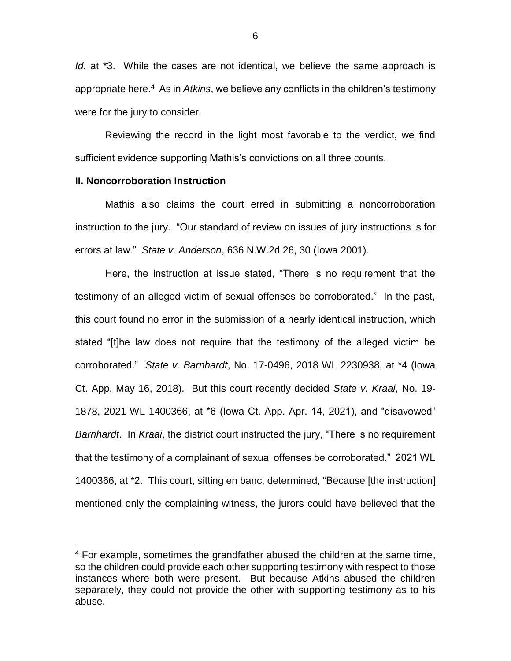*Id.* at \*3. While the cases are not identical, we believe the same approach is appropriate here. 4 As in *Atkins*, we believe any conflicts in the children's testimony were for the jury to consider.

Reviewing the record in the light most favorable to the verdict, we find sufficient evidence supporting Mathis's convictions on all three counts.

### **II. Noncorroboration Instruction**

 $\overline{a}$ 

Mathis also claims the court erred in submitting a noncorroboration instruction to the jury. "Our standard of review on issues of jury instructions is for errors at law." *State v. Anderson*, 636 N.W.2d 26, 30 (Iowa 2001).

Here, the instruction at issue stated, "There is no requirement that the testimony of an alleged victim of sexual offenses be corroborated." In the past, this court found no error in the submission of a nearly identical instruction, which stated "[t]he law does not require that the testimony of the alleged victim be corroborated." *State v. Barnhardt*, No. 17-0496, 2018 WL 2230938, at \*4 (Iowa Ct. App. May 16, 2018). But this court recently decided *State v. Kraai*, No. 19- 1878, 2021 WL 1400366, at \*6 (Iowa Ct. App. Apr. 14, 2021), and "disavowed" *Barnhardt*. In *Kraai*, the district court instructed the jury, "There is no requirement that the testimony of a complainant of sexual offenses be corroborated." 2021 WL 1400366, at \*2. This court, sitting en banc, determined, "Because [the instruction] mentioned only the complaining witness, the jurors could have believed that the

<sup>4</sup> For example, sometimes the grandfather abused the children at the same time, so the children could provide each other supporting testimony with respect to those instances where both were present. But because Atkins abused the children separately, they could not provide the other with supporting testimony as to his abuse.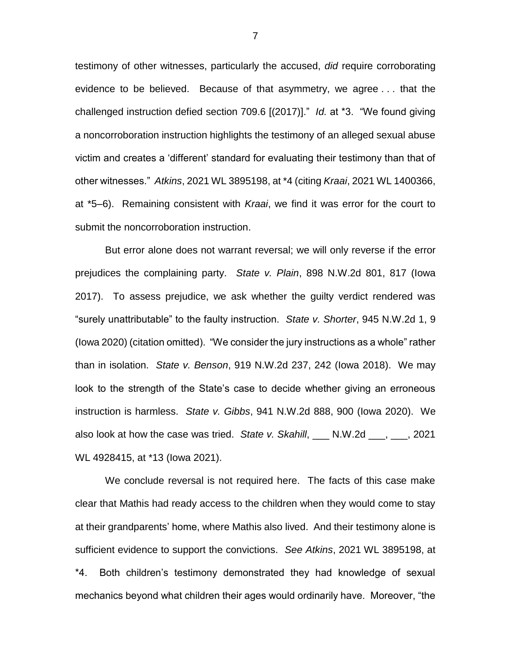testimony of other witnesses, particularly the accused, *did* require corroborating evidence to be believed. Because of that asymmetry, we agree . . . that the challenged instruction defied section 709.6 [(2017)]." *Id.* at \*3. "We found giving a noncorroboration instruction highlights the testimony of an alleged sexual abuse victim and creates a 'different' standard for evaluating their testimony than that of other witnesses." *Atkins*, 2021 WL 3895198, at \*4 (citing *Kraai*, 2021 WL 1400366, at \*5–6). Remaining consistent with *Kraai*, we find it was error for the court to submit the noncorroboration instruction.

But error alone does not warrant reversal; we will only reverse if the error prejudices the complaining party. *State v. Plain*, 898 N.W.2d 801, 817 (Iowa 2017). To assess prejudice, we ask whether the guilty verdict rendered was "surely unattributable" to the faulty instruction. *State v. Shorter*, 945 N.W.2d 1, 9 (Iowa 2020) (citation omitted). "We consider the jury instructions as a whole" rather than in isolation. *State v. Benson*, 919 N.W.2d 237, 242 (Iowa 2018). We may look to the strength of the State's case to decide whether giving an erroneous instruction is harmless. *State v. Gibbs*, 941 N.W.2d 888, 900 (Iowa 2020). We also look at how the case was tried. *State v. Skahill*, \_\_\_ N.W.2d \_\_\_, \_\_\_, 2021 WL 4928415, at \*13 (Iowa 2021).

We conclude reversal is not required here. The facts of this case make clear that Mathis had ready access to the children when they would come to stay at their grandparents' home, where Mathis also lived. And their testimony alone is sufficient evidence to support the convictions. *See Atkins*, 2021 WL 3895198, at \*4. Both children's testimony demonstrated they had knowledge of sexual mechanics beyond what children their ages would ordinarily have. Moreover, "the

7